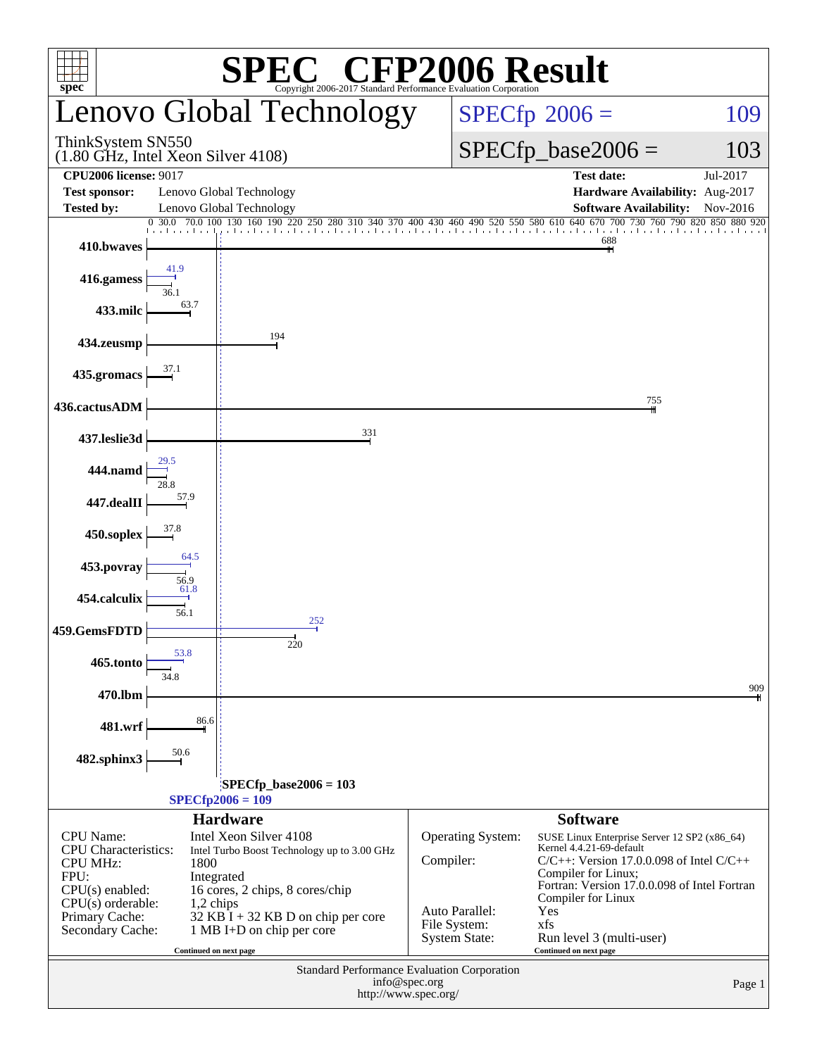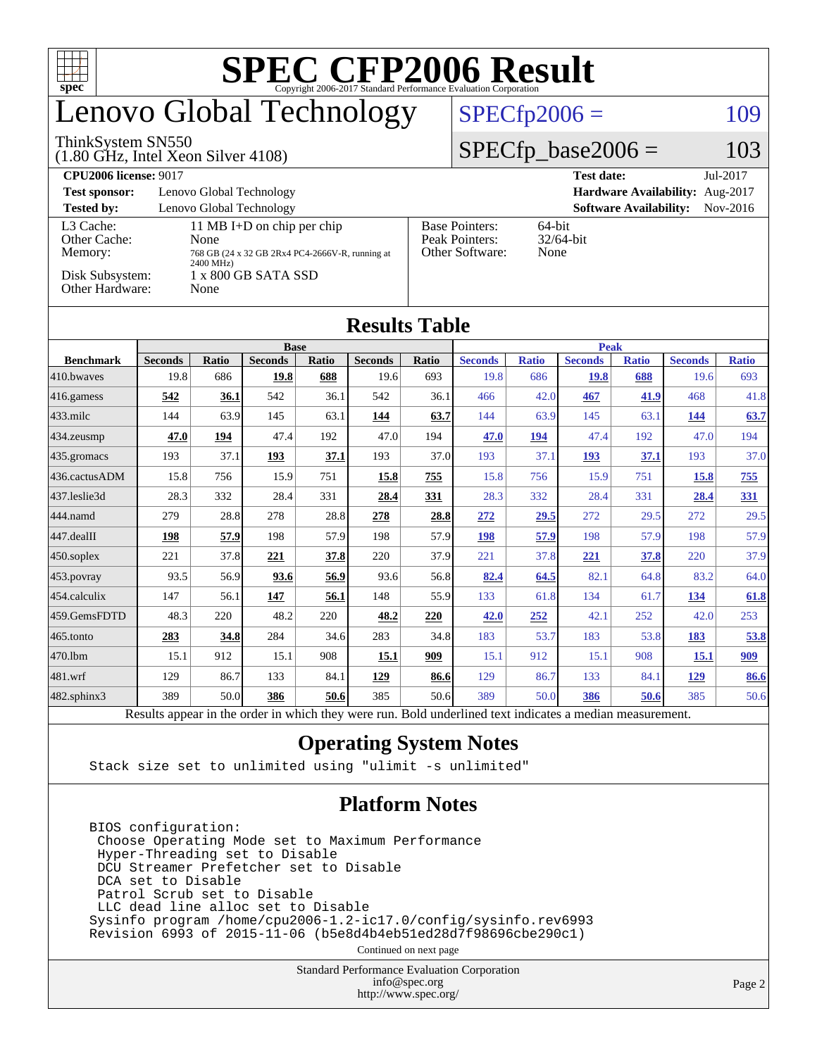| T T<br>$spec^*$                                                                            |                                                             |       |                |       |                |       |                                                                |              |                |              |                |              |  |
|--------------------------------------------------------------------------------------------|-------------------------------------------------------------|-------|----------------|-------|----------------|-------|----------------------------------------------------------------|--------------|----------------|--------------|----------------|--------------|--|
| Lenovo Global Technology                                                                   |                                                             |       |                |       |                |       | $SPECfp2006 =$<br>109                                          |              |                |              |                |              |  |
| ThinkSystem SN550<br>$(1.80$ GHz, Intel Xeon Silver 4108)                                  |                                                             |       |                |       |                |       | $SPECfp\_base2006 =$<br>103                                    |              |                |              |                |              |  |
| <b>CPU2006 license: 9017</b>                                                               |                                                             |       |                |       |                |       | <b>Test date:</b><br>Jul-2017                                  |              |                |              |                |              |  |
| <b>Test sponsor:</b>                                                                       | Lenovo Global Technology<br>Hardware Availability: Aug-2017 |       |                |       |                |       |                                                                |              |                |              |                |              |  |
| <b>Tested by:</b><br>Lenovo Global Technology<br><b>Software Availability:</b><br>Nov-2016 |                                                             |       |                |       |                |       |                                                                |              |                |              |                |              |  |
| L <sub>3</sub> Cache:<br>11 MB I+D on chip per chip<br>Other Cache:<br>None                |                                                             |       |                |       |                |       | <b>Base Pointers:</b><br>64-bit<br>Peak Pointers:<br>32/64-bit |              |                |              |                |              |  |
| Memory:<br>768 GB (24 x 32 GB 2Rx4 PC4-2666V-R, running at                                 |                                                             |       |                |       |                |       | Other Software:<br>None                                        |              |                |              |                |              |  |
| 2400 MHz)<br>Disk Subsystem:<br>1 x 800 GB SATA SSD                                        |                                                             |       |                |       |                |       |                                                                |              |                |              |                |              |  |
| Other Hardware:<br>None                                                                    |                                                             |       |                |       |                |       |                                                                |              |                |              |                |              |  |
|                                                                                            |                                                             |       |                |       |                |       |                                                                |              |                |              |                |              |  |
| <b>Results Table</b>                                                                       |                                                             |       |                |       |                |       |                                                                |              |                |              |                |              |  |
|                                                                                            | <b>Base</b>                                                 |       |                |       |                |       |                                                                | <b>Peak</b>  |                |              |                |              |  |
| <b>Benchmark</b>                                                                           | <b>Seconds</b>                                              | Ratio | <b>Seconds</b> | Ratio | <b>Seconds</b> | Ratio | <b>Seconds</b>                                                 | <b>Ratio</b> | <b>Seconds</b> | <b>Ratio</b> | <b>Seconds</b> | <b>Ratio</b> |  |
| 410.bwayes                                                                                 | 19.8                                                        | 686   | 19.8           | 688   | 19.6           | 693   | 19.8                                                           | 686          | 19.8           | 688          | 19.6           | 693          |  |
| 416.gamess                                                                                 | 542                                                         | 36.1  | 542            | 36.1  | 542            | 36.1  | 466                                                            | 42.0         | 467            | 41.9         | 468            | 41.8         |  |
| 433.milc                                                                                   | 144                                                         | 63.9  | 145            | 63.1  | 144            | 63.7  | 144                                                            | 63.9         | 145            | 63.1         | 144            | 63.7         |  |
| 434.zeusmp                                                                                 | 47.0                                                        | 194   | 47.4           | 192   | 47.0           | 194   | 47.0                                                           | 194          | 47.4           | 192          | 47.0           | 194          |  |
| 435.gromacs                                                                                | 193                                                         | 37.1  | 193            | 37.1  | 193            | 37.0  | 193                                                            | 37.1         | 193            | 37.1         | 193            | 37.0         |  |
| 436.cactusADM                                                                              | 15.8                                                        | 756   | 15.9           | 751   | 15.8           | 755   | 15.8                                                           | 756          | 15.9           | 751          | 15.8           | 755          |  |
| 437.leslie3d                                                                               | 28.3                                                        | 332   | 28.4           | 331   | 28.4           | 331   | 28.3                                                           | 332          | 28.4           | 331          | 28.4           | 331          |  |
| 444.namd                                                                                   | 279                                                         | 28.8  | 278            | 28.8  | 278            | 28.8  | 272                                                            | 29.5         | 272            | 29.5         | 272            | 29.5         |  |
| 447.dealII                                                                                 | 198                                                         | 57.9  | 198            | 57.9  | 198            | 57.9  | 198                                                            | 57.9         | 198            | 57.9         | 198            | 57.9         |  |
| 450.soplex                                                                                 | 221                                                         | 37.8  | 221            | 37.8  | 220            | 37.9  | 221                                                            | 37.8         | 221            | 37.8         | 220            | 37.9         |  |
| 453.povray                                                                                 | 93.5                                                        | 56.9  | 93.6           | 56.9  | 93.6           | 56.8  | 82.4                                                           | 64.5         | 82.1           | 64.8         | 83.2           | 64.0         |  |
| 454.calculix                                                                               | 147                                                         | 56.1  | 147            | 56.1  | 148            | 55.9  | 133                                                            | 61.8         | 134            | 61.7         | 134            | 61.8         |  |
| 459.GemsFDTD                                                                               | 48.3                                                        | 220   | 48.2           | 220   | 48.2           | 220   | 42.0                                                           | 252          | 42.1           | 252          | 42.0           | 253          |  |
| 465.tonto                                                                                  | 283                                                         | 34.8  | 284            | 34.6  | 283            | 34.8  | 183                                                            | 53.7         | 183            | 53.8         | 183            | 53.8         |  |
| $470$ .lbm                                                                                 | 15.1                                                        | 912   | 15.1           | 908   | 15.1           | 909   | 15.1                                                           | 912          | 15.1           | 908          | 15.1           | 909          |  |
| 481.wrf                                                                                    | 129                                                         | 86.7  | 133            | 84.1  | 129            | 86.6  | 129                                                            | 86.7         | 133            | 84.1         | 129            | 86.6         |  |
| $482$ .sphinx $3$                                                                          | 389                                                         | 50.0  | 386            | 50.6  | 385            | 50.6  | 389                                                            | 50.0         | 386            | 50.6         | 385            | 50.6         |  |

Results appear in the [order in which they were run.](http://www.spec.org/auto/cpu2006/Docs/result-fields.html#RunOrder) Bold underlined text [indicates a median measurement.](http://www.spec.org/auto/cpu2006/Docs/result-fields.html#Median)

#### **[Operating System Notes](http://www.spec.org/auto/cpu2006/Docs/result-fields.html#OperatingSystemNotes)**

Stack size set to unlimited using "ulimit -s unlimited"

#### **[Platform Notes](http://www.spec.org/auto/cpu2006/Docs/result-fields.html#PlatformNotes)**

 BIOS configuration: Choose Operating Mode set to Maximum Performance Hyper-Threading set to Disable DCU Streamer Prefetcher set to Disable DCA set to Disable Patrol Scrub set to Disable LLC dead line alloc set to Disable Sysinfo program /home/cpu2006-1.2-ic17.0/config/sysinfo.rev6993 Revision 6993 of 2015-11-06 (b5e8d4b4eb51ed28d7f98696cbe290c1)

Continued on next page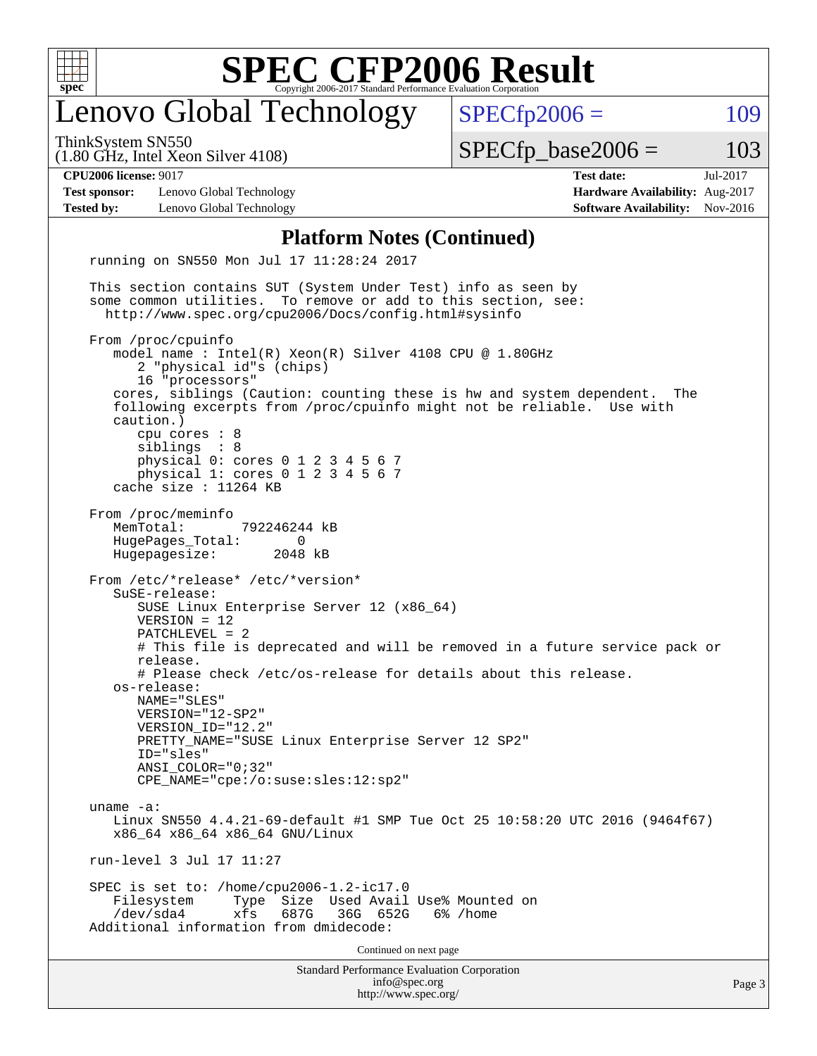

## enovo Global Technology

ThinkSystem SN550

(1.80 GHz, Intel Xeon Silver 4108)

 $SPECTp2006 = 109$ 

**[Test sponsor:](http://www.spec.org/auto/cpu2006/Docs/result-fields.html#Testsponsor)** Lenovo Global Technology **[Hardware Availability:](http://www.spec.org/auto/cpu2006/Docs/result-fields.html#HardwareAvailability)** Aug-2017 **[Tested by:](http://www.spec.org/auto/cpu2006/Docs/result-fields.html#Testedby)** Lenovo Global Technology **[Software Availability:](http://www.spec.org/auto/cpu2006/Docs/result-fields.html#SoftwareAvailability)** Nov-2016

 $SPECTp\_base2006 = 103$ **[CPU2006 license:](http://www.spec.org/auto/cpu2006/Docs/result-fields.html#CPU2006license)** 9017 **[Test date:](http://www.spec.org/auto/cpu2006/Docs/result-fields.html#Testdate)** Jul-2017

#### **[Platform Notes \(Continued\)](http://www.spec.org/auto/cpu2006/Docs/result-fields.html#PlatformNotes)**

Standard Performance Evaluation Corporation [info@spec.org](mailto:info@spec.org) <http://www.spec.org/> Page 3 running on SN550 Mon Jul 17 11:28:24 2017 This section contains SUT (System Under Test) info as seen by some common utilities. To remove or add to this section, see: <http://www.spec.org/cpu2006/Docs/config.html#sysinfo> From /proc/cpuinfo model name : Intel(R) Xeon(R) Silver 4108 CPU @ 1.80GHz 2 "physical id"s (chips) 16 "processors" cores, siblings (Caution: counting these is hw and system dependent. The following excerpts from /proc/cpuinfo might not be reliable. Use with caution.) cpu cores : 8 siblings : 8 physical 0: cores 0 1 2 3 4 5 6 7 physical 1: cores 0 1 2 3 4 5 6 7 cache size : 11264 KB From /proc/meminfo MemTotal: 792246244 kB HugePages\_Total: 0<br>Hugepagesize: 2048 kB Hugepagesize: From /etc/\*release\* /etc/\*version\* SuSE-release: SUSE Linux Enterprise Server 12 (x86\_64) VERSION = 12 PATCHLEVEL = 2 # This file is deprecated and will be removed in a future service pack or release. # Please check /etc/os-release for details about this release. os-release: NAME="SLES" VERSION="12-SP2" VERSION\_ID="12.2" PRETTY\_NAME="SUSE Linux Enterprise Server 12 SP2" ID="sles" ANSI\_COLOR="0;32" CPE\_NAME="cpe:/o:suse:sles:12:sp2" uname -a: Linux SN550 4.4.21-69-default #1 SMP Tue Oct 25 10:58:20 UTC 2016 (9464f67) x86\_64 x86\_64 x86\_64 GNU/Linux run-level 3 Jul 17 11:27 SPEC is set to: /home/cpu2006-1.2-ic17.0 Filesystem Type Size Used Avail Use% Mounted on<br>
/dev/sda4 xfs 687G 36G 652G 6% /home 36G 652G 6% / home Additional information from dmidecode: Continued on next page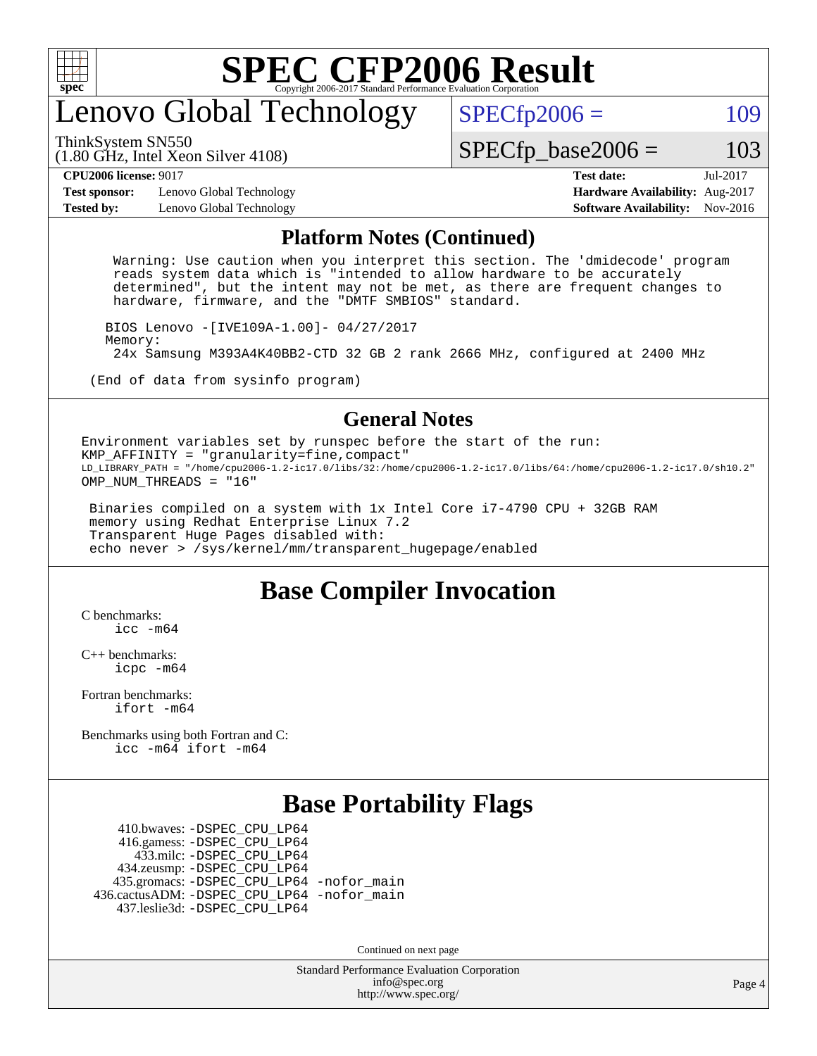

## enovo Global Technology

ThinkSystem SN550

 $SPECTp2006 = 109$ 

(1.80 GHz, Intel Xeon Silver 4108)

 $SPECTp\_base2006 = 103$ 

**[Test sponsor:](http://www.spec.org/auto/cpu2006/Docs/result-fields.html#Testsponsor)** Lenovo Global Technology **[Hardware Availability:](http://www.spec.org/auto/cpu2006/Docs/result-fields.html#HardwareAvailability)** Aug-2017 **[Tested by:](http://www.spec.org/auto/cpu2006/Docs/result-fields.html#Testedby)** Lenovo Global Technology **[Software Availability:](http://www.spec.org/auto/cpu2006/Docs/result-fields.html#SoftwareAvailability)** Nov-2016

**[CPU2006 license:](http://www.spec.org/auto/cpu2006/Docs/result-fields.html#CPU2006license)** 9017 **[Test date:](http://www.spec.org/auto/cpu2006/Docs/result-fields.html#Testdate)** Jul-2017

#### **[Platform Notes \(Continued\)](http://www.spec.org/auto/cpu2006/Docs/result-fields.html#PlatformNotes)**

 Warning: Use caution when you interpret this section. The 'dmidecode' program reads system data which is "intended to allow hardware to be accurately determined", but the intent may not be met, as there are frequent changes to hardware, firmware, and the "DMTF SMBIOS" standard.

 BIOS Lenovo -[IVE109A-1.00]- 04/27/2017 Memory: 24x Samsung M393A4K40BB2-CTD 32 GB 2 rank 2666 MHz, configured at 2400 MHz

(End of data from sysinfo program)

#### **[General Notes](http://www.spec.org/auto/cpu2006/Docs/result-fields.html#GeneralNotes)**

Environment variables set by runspec before the start of the run: KMP\_AFFINITY = "granularity=fine,compact" LD\_LIBRARY\_PATH = "/home/cpu2006-1.2-ic17.0/libs/32:/home/cpu2006-1.2-ic17.0/libs/64:/home/cpu2006-1.2-ic17.0/sh10.2" OMP NUM THREADS = "16"

 Binaries compiled on a system with 1x Intel Core i7-4790 CPU + 32GB RAM memory using Redhat Enterprise Linux 7.2 Transparent Huge Pages disabled with: echo never > /sys/kernel/mm/transparent\_hugepage/enabled

#### **[Base Compiler Invocation](http://www.spec.org/auto/cpu2006/Docs/result-fields.html#BaseCompilerInvocation)**

[C benchmarks](http://www.spec.org/auto/cpu2006/Docs/result-fields.html#Cbenchmarks): [icc -m64](http://www.spec.org/cpu2006/results/res2017q4/cpu2006-20170918-50060.flags.html#user_CCbase_intel_icc_64bit_bda6cc9af1fdbb0edc3795bac97ada53)

[C++ benchmarks:](http://www.spec.org/auto/cpu2006/Docs/result-fields.html#CXXbenchmarks) [icpc -m64](http://www.spec.org/cpu2006/results/res2017q4/cpu2006-20170918-50060.flags.html#user_CXXbase_intel_icpc_64bit_fc66a5337ce925472a5c54ad6a0de310)

[Fortran benchmarks](http://www.spec.org/auto/cpu2006/Docs/result-fields.html#Fortranbenchmarks): [ifort -m64](http://www.spec.org/cpu2006/results/res2017q4/cpu2006-20170918-50060.flags.html#user_FCbase_intel_ifort_64bit_ee9d0fb25645d0210d97eb0527dcc06e)

[Benchmarks using both Fortran and C](http://www.spec.org/auto/cpu2006/Docs/result-fields.html#BenchmarksusingbothFortranandC): [icc -m64](http://www.spec.org/cpu2006/results/res2017q4/cpu2006-20170918-50060.flags.html#user_CC_FCbase_intel_icc_64bit_bda6cc9af1fdbb0edc3795bac97ada53) [ifort -m64](http://www.spec.org/cpu2006/results/res2017q4/cpu2006-20170918-50060.flags.html#user_CC_FCbase_intel_ifort_64bit_ee9d0fb25645d0210d97eb0527dcc06e)

#### **[Base Portability Flags](http://www.spec.org/auto/cpu2006/Docs/result-fields.html#BasePortabilityFlags)**

 410.bwaves: [-DSPEC\\_CPU\\_LP64](http://www.spec.org/cpu2006/results/res2017q4/cpu2006-20170918-50060.flags.html#suite_basePORTABILITY410_bwaves_DSPEC_CPU_LP64) 416.gamess: [-DSPEC\\_CPU\\_LP64](http://www.spec.org/cpu2006/results/res2017q4/cpu2006-20170918-50060.flags.html#suite_basePORTABILITY416_gamess_DSPEC_CPU_LP64) 433.milc: [-DSPEC\\_CPU\\_LP64](http://www.spec.org/cpu2006/results/res2017q4/cpu2006-20170918-50060.flags.html#suite_basePORTABILITY433_milc_DSPEC_CPU_LP64) 434.zeusmp: [-DSPEC\\_CPU\\_LP64](http://www.spec.org/cpu2006/results/res2017q4/cpu2006-20170918-50060.flags.html#suite_basePORTABILITY434_zeusmp_DSPEC_CPU_LP64) 435.gromacs: [-DSPEC\\_CPU\\_LP64](http://www.spec.org/cpu2006/results/res2017q4/cpu2006-20170918-50060.flags.html#suite_basePORTABILITY435_gromacs_DSPEC_CPU_LP64) [-nofor\\_main](http://www.spec.org/cpu2006/results/res2017q4/cpu2006-20170918-50060.flags.html#user_baseLDPORTABILITY435_gromacs_f-nofor_main) 436.cactusADM: [-DSPEC\\_CPU\\_LP64](http://www.spec.org/cpu2006/results/res2017q4/cpu2006-20170918-50060.flags.html#suite_basePORTABILITY436_cactusADM_DSPEC_CPU_LP64) [-nofor\\_main](http://www.spec.org/cpu2006/results/res2017q4/cpu2006-20170918-50060.flags.html#user_baseLDPORTABILITY436_cactusADM_f-nofor_main) 437.leslie3d: [-DSPEC\\_CPU\\_LP64](http://www.spec.org/cpu2006/results/res2017q4/cpu2006-20170918-50060.flags.html#suite_basePORTABILITY437_leslie3d_DSPEC_CPU_LP64)

Continued on next page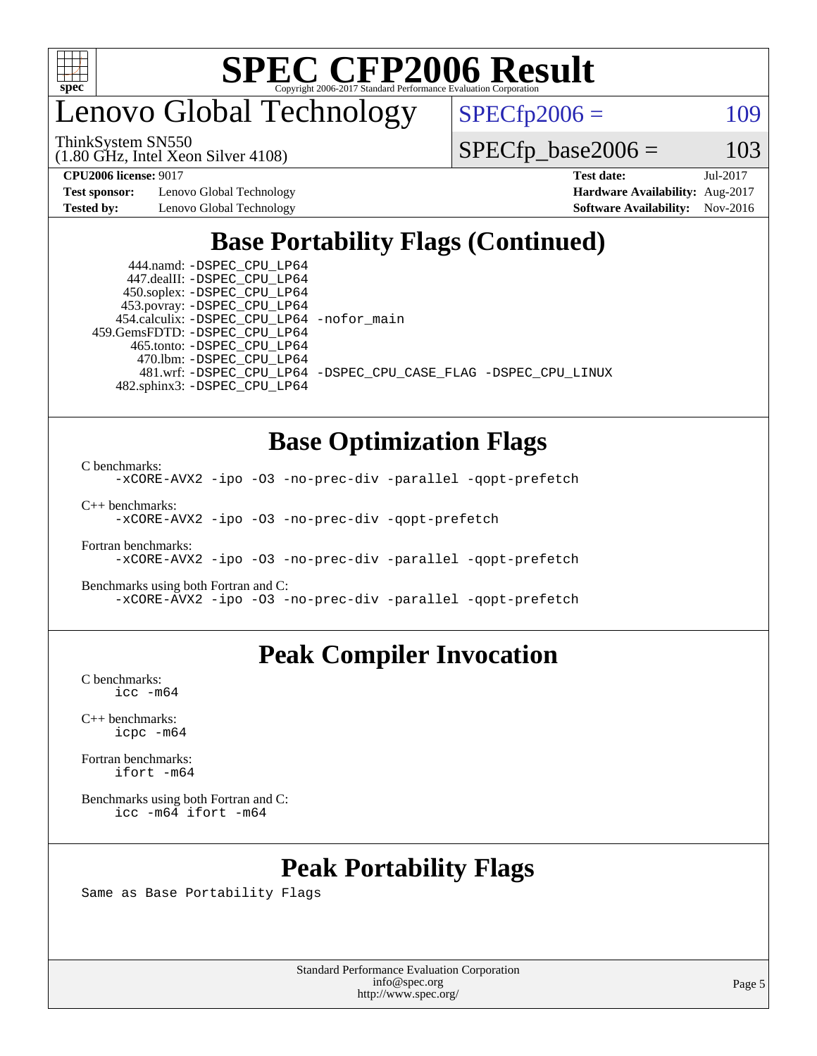

enovo Global Technology

ThinkSystem SN550

(1.80 GHz, Intel Xeon Silver 4108)

 $SPECTp2006 = 109$ 

 $SPECTp\_base2006 = 103$ 

**[Test sponsor:](http://www.spec.org/auto/cpu2006/Docs/result-fields.html#Testsponsor)** Lenovo Global Technology **[Hardware Availability:](http://www.spec.org/auto/cpu2006/Docs/result-fields.html#HardwareAvailability)** Aug-2017

**[CPU2006 license:](http://www.spec.org/auto/cpu2006/Docs/result-fields.html#CPU2006license)** 9017 **[Test date:](http://www.spec.org/auto/cpu2006/Docs/result-fields.html#Testdate)** Jul-2017 **[Tested by:](http://www.spec.org/auto/cpu2006/Docs/result-fields.html#Testedby)** Lenovo Global Technology **[Software Availability:](http://www.spec.org/auto/cpu2006/Docs/result-fields.html#SoftwareAvailability)** Nov-2016

### **[Base Portability Flags \(Continued\)](http://www.spec.org/auto/cpu2006/Docs/result-fields.html#BasePortabilityFlags)**

 444.namd: [-DSPEC\\_CPU\\_LP64](http://www.spec.org/cpu2006/results/res2017q4/cpu2006-20170918-50060.flags.html#suite_basePORTABILITY444_namd_DSPEC_CPU_LP64) 447.dealII: [-DSPEC\\_CPU\\_LP64](http://www.spec.org/cpu2006/results/res2017q4/cpu2006-20170918-50060.flags.html#suite_basePORTABILITY447_dealII_DSPEC_CPU_LP64) 450.soplex: [-DSPEC\\_CPU\\_LP64](http://www.spec.org/cpu2006/results/res2017q4/cpu2006-20170918-50060.flags.html#suite_basePORTABILITY450_soplex_DSPEC_CPU_LP64) 453.povray: [-DSPEC\\_CPU\\_LP64](http://www.spec.org/cpu2006/results/res2017q4/cpu2006-20170918-50060.flags.html#suite_basePORTABILITY453_povray_DSPEC_CPU_LP64) 454.calculix: [-DSPEC\\_CPU\\_LP64](http://www.spec.org/cpu2006/results/res2017q4/cpu2006-20170918-50060.flags.html#suite_basePORTABILITY454_calculix_DSPEC_CPU_LP64) [-nofor\\_main](http://www.spec.org/cpu2006/results/res2017q4/cpu2006-20170918-50060.flags.html#user_baseLDPORTABILITY454_calculix_f-nofor_main) 459.GemsFDTD: [-DSPEC\\_CPU\\_LP64](http://www.spec.org/cpu2006/results/res2017q4/cpu2006-20170918-50060.flags.html#suite_basePORTABILITY459_GemsFDTD_DSPEC_CPU_LP64) 465.tonto: [-DSPEC\\_CPU\\_LP64](http://www.spec.org/cpu2006/results/res2017q4/cpu2006-20170918-50060.flags.html#suite_basePORTABILITY465_tonto_DSPEC_CPU_LP64) 470.lbm: [-DSPEC\\_CPU\\_LP64](http://www.spec.org/cpu2006/results/res2017q4/cpu2006-20170918-50060.flags.html#suite_basePORTABILITY470_lbm_DSPEC_CPU_LP64) 482.sphinx3: [-DSPEC\\_CPU\\_LP64](http://www.spec.org/cpu2006/results/res2017q4/cpu2006-20170918-50060.flags.html#suite_basePORTABILITY482_sphinx3_DSPEC_CPU_LP64)

481.wrf: [-DSPEC\\_CPU\\_LP64](http://www.spec.org/cpu2006/results/res2017q4/cpu2006-20170918-50060.flags.html#suite_basePORTABILITY481_wrf_DSPEC_CPU_LP64) [-DSPEC\\_CPU\\_CASE\\_FLAG](http://www.spec.org/cpu2006/results/res2017q4/cpu2006-20170918-50060.flags.html#b481.wrf_baseCPORTABILITY_DSPEC_CPU_CASE_FLAG) [-DSPEC\\_CPU\\_LINUX](http://www.spec.org/cpu2006/results/res2017q4/cpu2006-20170918-50060.flags.html#b481.wrf_baseCPORTABILITY_DSPEC_CPU_LINUX)

#### **[Base Optimization Flags](http://www.spec.org/auto/cpu2006/Docs/result-fields.html#BaseOptimizationFlags)**

[C benchmarks](http://www.spec.org/auto/cpu2006/Docs/result-fields.html#Cbenchmarks):

[-xCORE-AVX2](http://www.spec.org/cpu2006/results/res2017q4/cpu2006-20170918-50060.flags.html#user_CCbase_f-xCORE-AVX2) [-ipo](http://www.spec.org/cpu2006/results/res2017q4/cpu2006-20170918-50060.flags.html#user_CCbase_f-ipo) [-O3](http://www.spec.org/cpu2006/results/res2017q4/cpu2006-20170918-50060.flags.html#user_CCbase_f-O3) [-no-prec-div](http://www.spec.org/cpu2006/results/res2017q4/cpu2006-20170918-50060.flags.html#user_CCbase_f-no-prec-div) [-parallel](http://www.spec.org/cpu2006/results/res2017q4/cpu2006-20170918-50060.flags.html#user_CCbase_f-parallel) [-qopt-prefetch](http://www.spec.org/cpu2006/results/res2017q4/cpu2006-20170918-50060.flags.html#user_CCbase_f-qopt-prefetch)

[C++ benchmarks:](http://www.spec.org/auto/cpu2006/Docs/result-fields.html#CXXbenchmarks) [-xCORE-AVX2](http://www.spec.org/cpu2006/results/res2017q4/cpu2006-20170918-50060.flags.html#user_CXXbase_f-xCORE-AVX2) [-ipo](http://www.spec.org/cpu2006/results/res2017q4/cpu2006-20170918-50060.flags.html#user_CXXbase_f-ipo) [-O3](http://www.spec.org/cpu2006/results/res2017q4/cpu2006-20170918-50060.flags.html#user_CXXbase_f-O3) [-no-prec-div](http://www.spec.org/cpu2006/results/res2017q4/cpu2006-20170918-50060.flags.html#user_CXXbase_f-no-prec-div) [-qopt-prefetch](http://www.spec.org/cpu2006/results/res2017q4/cpu2006-20170918-50060.flags.html#user_CXXbase_f-qopt-prefetch)

[Fortran benchmarks](http://www.spec.org/auto/cpu2006/Docs/result-fields.html#Fortranbenchmarks): [-xCORE-AVX2](http://www.spec.org/cpu2006/results/res2017q4/cpu2006-20170918-50060.flags.html#user_FCbase_f-xCORE-AVX2) [-ipo](http://www.spec.org/cpu2006/results/res2017q4/cpu2006-20170918-50060.flags.html#user_FCbase_f-ipo) [-O3](http://www.spec.org/cpu2006/results/res2017q4/cpu2006-20170918-50060.flags.html#user_FCbase_f-O3) [-no-prec-div](http://www.spec.org/cpu2006/results/res2017q4/cpu2006-20170918-50060.flags.html#user_FCbase_f-no-prec-div) [-parallel](http://www.spec.org/cpu2006/results/res2017q4/cpu2006-20170918-50060.flags.html#user_FCbase_f-parallel) [-qopt-prefetch](http://www.spec.org/cpu2006/results/res2017q4/cpu2006-20170918-50060.flags.html#user_FCbase_f-qopt-prefetch)

[Benchmarks using both Fortran and C](http://www.spec.org/auto/cpu2006/Docs/result-fields.html#BenchmarksusingbothFortranandC): [-xCORE-AVX2](http://www.spec.org/cpu2006/results/res2017q4/cpu2006-20170918-50060.flags.html#user_CC_FCbase_f-xCORE-AVX2) [-ipo](http://www.spec.org/cpu2006/results/res2017q4/cpu2006-20170918-50060.flags.html#user_CC_FCbase_f-ipo) [-O3](http://www.spec.org/cpu2006/results/res2017q4/cpu2006-20170918-50060.flags.html#user_CC_FCbase_f-O3) [-no-prec-div](http://www.spec.org/cpu2006/results/res2017q4/cpu2006-20170918-50060.flags.html#user_CC_FCbase_f-no-prec-div) [-parallel](http://www.spec.org/cpu2006/results/res2017q4/cpu2006-20170918-50060.flags.html#user_CC_FCbase_f-parallel) [-qopt-prefetch](http://www.spec.org/cpu2006/results/res2017q4/cpu2006-20170918-50060.flags.html#user_CC_FCbase_f-qopt-prefetch)

#### **[Peak Compiler Invocation](http://www.spec.org/auto/cpu2006/Docs/result-fields.html#PeakCompilerInvocation)**

[C benchmarks](http://www.spec.org/auto/cpu2006/Docs/result-fields.html#Cbenchmarks): [icc -m64](http://www.spec.org/cpu2006/results/res2017q4/cpu2006-20170918-50060.flags.html#user_CCpeak_intel_icc_64bit_bda6cc9af1fdbb0edc3795bac97ada53)

[C++ benchmarks:](http://www.spec.org/auto/cpu2006/Docs/result-fields.html#CXXbenchmarks) [icpc -m64](http://www.spec.org/cpu2006/results/res2017q4/cpu2006-20170918-50060.flags.html#user_CXXpeak_intel_icpc_64bit_fc66a5337ce925472a5c54ad6a0de310)

[Fortran benchmarks](http://www.spec.org/auto/cpu2006/Docs/result-fields.html#Fortranbenchmarks): [ifort -m64](http://www.spec.org/cpu2006/results/res2017q4/cpu2006-20170918-50060.flags.html#user_FCpeak_intel_ifort_64bit_ee9d0fb25645d0210d97eb0527dcc06e)

[Benchmarks using both Fortran and C](http://www.spec.org/auto/cpu2006/Docs/result-fields.html#BenchmarksusingbothFortranandC): [icc -m64](http://www.spec.org/cpu2006/results/res2017q4/cpu2006-20170918-50060.flags.html#user_CC_FCpeak_intel_icc_64bit_bda6cc9af1fdbb0edc3795bac97ada53) [ifort -m64](http://www.spec.org/cpu2006/results/res2017q4/cpu2006-20170918-50060.flags.html#user_CC_FCpeak_intel_ifort_64bit_ee9d0fb25645d0210d97eb0527dcc06e)

## **[Peak Portability Flags](http://www.spec.org/auto/cpu2006/Docs/result-fields.html#PeakPortabilityFlags)**

Same as Base Portability Flags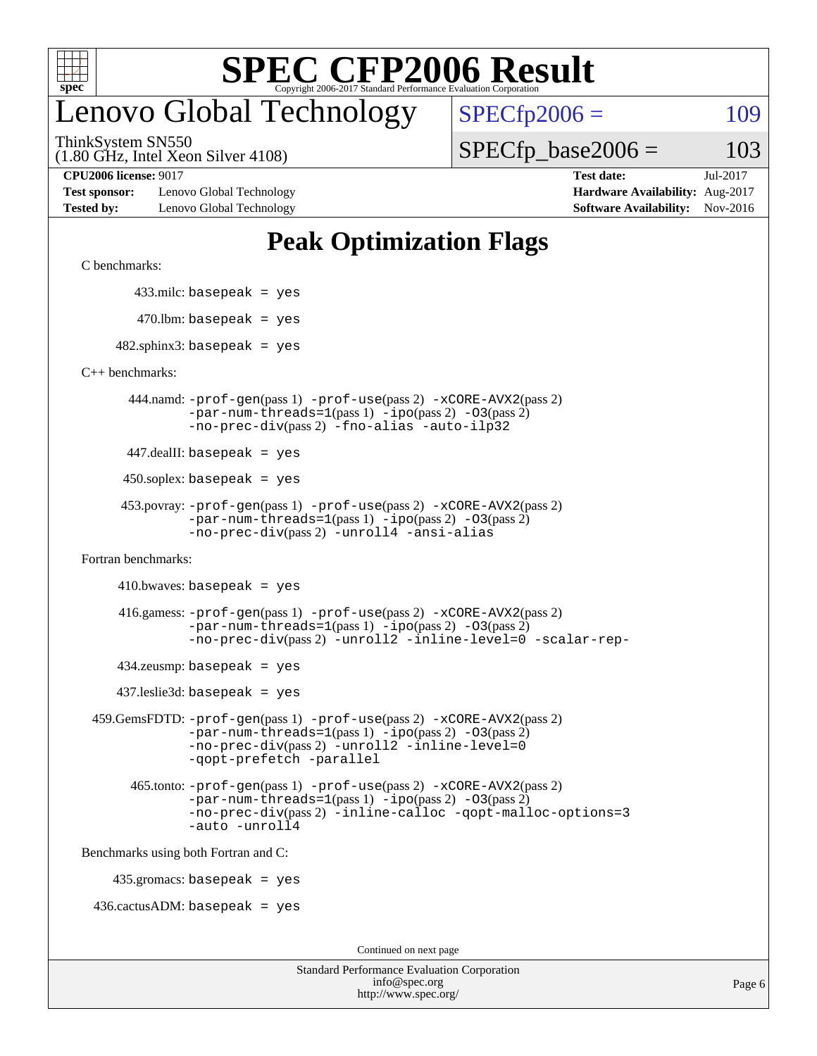

## enovo Global Technology

ThinkSystem SN550

(1.80 GHz, Intel Xeon Silver 4108)

**[Test sponsor:](http://www.spec.org/auto/cpu2006/Docs/result-fields.html#Testsponsor)** Lenovo Global Technology **[Hardware Availability:](http://www.spec.org/auto/cpu2006/Docs/result-fields.html#HardwareAvailability)** Aug-2017 **[Tested by:](http://www.spec.org/auto/cpu2006/Docs/result-fields.html#Testedby)** Lenovo Global Technology **[Software Availability:](http://www.spec.org/auto/cpu2006/Docs/result-fields.html#SoftwareAvailability)** Nov-2016

 $SPECTp2006 = 109$ 

 $SPECTp\_base2006 = 103$ 

**[CPU2006 license:](http://www.spec.org/auto/cpu2006/Docs/result-fields.html#CPU2006license)** 9017 **[Test date:](http://www.spec.org/auto/cpu2006/Docs/result-fields.html#Testdate)** Jul-2017

### **[Peak Optimization Flags](http://www.spec.org/auto/cpu2006/Docs/result-fields.html#PeakOptimizationFlags)**

[C benchmarks](http://www.spec.org/auto/cpu2006/Docs/result-fields.html#Cbenchmarks):

433.milc: basepeak = yes

 $470.$ lbm: basepeak = yes

 $482$ .sphinx3: basepeak = yes

[C++ benchmarks:](http://www.spec.org/auto/cpu2006/Docs/result-fields.html#CXXbenchmarks)

 444.namd: [-prof-gen](http://www.spec.org/cpu2006/results/res2017q4/cpu2006-20170918-50060.flags.html#user_peakPASS1_CXXFLAGSPASS1_LDFLAGS444_namd_prof_gen_e43856698f6ca7b7e442dfd80e94a8fc)(pass 1) [-prof-use](http://www.spec.org/cpu2006/results/res2017q4/cpu2006-20170918-50060.flags.html#user_peakPASS2_CXXFLAGSPASS2_LDFLAGS444_namd_prof_use_bccf7792157ff70d64e32fe3e1250b55)(pass 2) [-xCORE-AVX2](http://www.spec.org/cpu2006/results/res2017q4/cpu2006-20170918-50060.flags.html#user_peakPASS2_CXXFLAGSPASS2_LDFLAGS444_namd_f-xCORE-AVX2)(pass 2)  $-par-num-threads=1(pass 1) -ipo(pass 2) -O3(pass 2)$  $-par-num-threads=1(pass 1) -ipo(pass 2) -O3(pass 2)$  $-par-num-threads=1(pass 1) -ipo(pass 2) -O3(pass 2)$  $-par-num-threads=1(pass 1) -ipo(pass 2) -O3(pass 2)$  $-par-num-threads=1(pass 1) -ipo(pass 2) -O3(pass 2)$  $-par-num-threads=1(pass 1) -ipo(pass 2) -O3(pass 2)$ [-no-prec-div](http://www.spec.org/cpu2006/results/res2017q4/cpu2006-20170918-50060.flags.html#user_peakPASS2_CXXFLAGSPASS2_LDFLAGS444_namd_f-no-prec-div)(pass 2) [-fno-alias](http://www.spec.org/cpu2006/results/res2017q4/cpu2006-20170918-50060.flags.html#user_peakCXXOPTIMIZEOPTIMIZE444_namd_f-no-alias_694e77f6c5a51e658e82ccff53a9e63a) [-auto-ilp32](http://www.spec.org/cpu2006/results/res2017q4/cpu2006-20170918-50060.flags.html#user_peakCXXOPTIMIZE444_namd_f-auto-ilp32)

447.dealII: basepeak = yes

 $450$ .soplex: basepeak = yes

```
 453.povray: -prof-gen(pass 1) -prof-use(pass 2) -xCORE-AVX2(pass 2)
         -par-num-threads=1-ipo-O3(pass 2)-no-prec-div(pass 2) -unroll4 -ansi-alias
```
[Fortran benchmarks](http://www.spec.org/auto/cpu2006/Docs/result-fields.html#Fortranbenchmarks):

```
410.bwaves: basepeak = yes
```

```
 416.gamess: -prof-gen(pass 1) -prof-use(pass 2) -xCORE-AVX2(pass 2)
         -par-num-threads=1-ipo-O3(pass 2)-no-prec-div(pass 2) -unroll2 -inline-level=0 -scalar-rep-
```
 $434$ .zeusmp: basepeak = yes

437.leslie3d: basepeak = yes

```
 459.GemsFDTD: -prof-gen(pass 1) -prof-use(pass 2) -xCORE-AVX2(pass 2)
            -par-num-threads=1-ipo-O3(pass 2)-no-prec-div(pass 2) -unroll2 -inline-level=0
            -qopt-prefetch -parallel
```

```
 465.tonto: -prof-gen(pass 1) -prof-use(pass 2) -xCORE-AVX2(pass 2)
       -par-num-threads=1-ipo-O3(pass 2)-no-prec-div-inline-calloc-qopt-malloc-options=3
       -auto -unroll4
```
[Benchmarks using both Fortran and C](http://www.spec.org/auto/cpu2006/Docs/result-fields.html#BenchmarksusingbothFortranandC):

435.gromacs: basepeak = yes

 $436.cactusADM:basepeak = yes$ 

Continued on next page

| <b>Standard Performance Evaluation Corporation</b> |
|----------------------------------------------------|
| info@spec.org                                      |
| http://www.spec.org/                               |